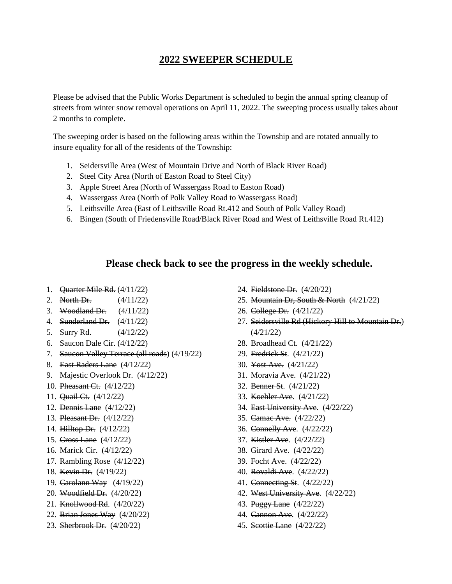## **2022 SWEEPER SCHEDULE**

Please be advised that the Public Works Department is scheduled to begin the annual spring cleanup of streets from winter snow removal operations on April 11, 2022. The sweeping process usually takes about 2 months to complete.

The sweeping order is based on the following areas within the Township and are rotated annually to insure equality for all of the residents of the Township:

- 1. Seidersville Area (West of Mountain Drive and North of Black River Road)
- 2. Steel City Area (North of Easton Road to Steel City)
- 3. Apple Street Area (North of Wassergass Road to Easton Road)
- 4. Wassergass Area (North of Polk Valley Road to Wassergass Road)
- 5. Leithsville Area (East of Leithsville Road Rt.412 and South of Polk Valley Road)
- 6. Bingen (South of Friedensville Road/Black River Road and West of Leithsville Road Rt.412)

## **Please check back to see the progress in the weekly schedule.**

- 1. Quarter Mile Rd. (4/11/22)
- 2. North Dr. (4/11/22)
- 3. Woodland Dr.  $(4/11/22)$
- 4. Sunderland Dr. (4/11/22)
- 5. Surry Rd. (4/12/22)
- 6. Saucon Dale Cir. (4/12/22)
- 7. Saucon Valley Terrace (all roads) (4/19/22)
- 8. East Raders Lane (4/12/22)
- 9. Majestic Overlook Dr. (4/12/22)
- 10. Pheasant Ct. (4/12/22)
- 11. Quail Ct. (4/12/22)
- 12. Dennis Lane (4/12/22)
- 13. Pleasant Dr. (4/12/22)
- 14. Hilltop Dr. (4/12/22)
- 15. Cross Lane (4/12/22)
- 16. Marick Cir. (4/12/22)
- 17. Rambling Rose (4/12/22)
- 18. Kevin Dr. (4/19/22)
- 19. Carolann Way (4/19/22)
- 20. Woodfield Dr. (4/20/22)
- 21. Knollwood Rd. (4/20/22)
- 22. Brian Jones Way (4/20/22)
- 23. Sherbrook Dr. (4/20/22)
- 24. Fieldstone Dr. (4/20/22)
- 25. Mountain Dr, South & North (4/21/22)
- 26. College Dr. (4/21/22)
- 27. Seidersville Rd (Hickory Hill to Mountain Dr.) (4/21/22)
- 28. Broadhead Ct. (4/21/22)
- 29. Fredrick St. (4/21/22)
- 30. Yost Ave. (4/21/22)
- 31. Moravia Ave. (4/21/22)
- 32. Benner St. (4/21/22)
- 33. Koehler Ave. (4/21/22)
- 34. East University Ave. (4/22/22)
- 35. Camac Ave. (4/22/22)
- 36. Connelly Ave. (4/22/22)
- 37. Kistler Ave. (4/22/22)
- 38. Girard Ave. (4/22/22)
- 39. Focht Ave. (4/22/22)
- 40. Rovaldi Ave. (4/22/22)
- 41. Connecting St. (4/22/22)
- 42. West University Ave. (4/22/22)
- 43. Puggy Lane (4/22/22)
- 44. Cannon Ave. (4/22/22)
- 45. Scottie Lane (4/22/22)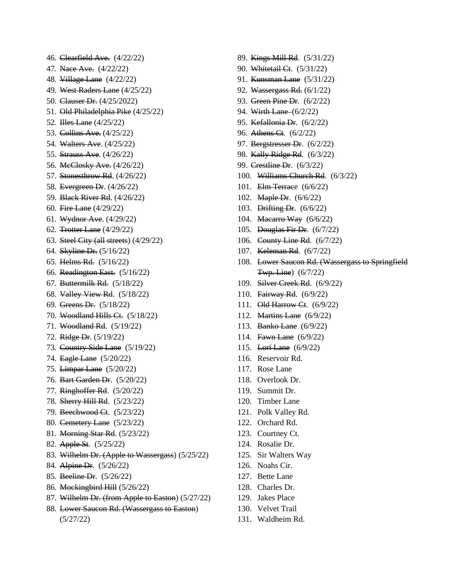47. Nace Ave. (4/22/22) 48. Village Lane (4/22/22) 49. West Raders Lane (4/25/22) 50. Clauser Dr. (4/25/2022) 51. Old Philadelphia Pike (4/25/22) 52. **Hes Lane** (4/25/22) 53. Collins Ave. (4/25/22) 54. Walters Ave. (4/25/22) 55. Strauss Ave. (4/26/22) 56. McClosky Ave. (4/26/22) 57. Stonesthrow Rd. (4/26/22) 58. Evergreen Dr. (4/26/22) 59. Black River Rd. (4/26/22) 60. Fire Lane (4/29/22) 61. Wydnor Ave. (4/29/22) 62. Trotter Lane (4/29/22) 63. Steel City (all streets) (4/29/22) 64. Skyline Dr. (5/16/22) 65. Helms Rd. (5/16/22) 66. Readington East. (5/16/22) 67. Buttermilk Rd. (5/18/22) 68. Valley View Rd. (5/18/22) 69. Greens Dr. (5/18/22) 70. Woodland Hills Ct. (5/18/22) 71. Woodland Rd. (5/19/22) 72. Ridge Dr. (5/19/22) 73. Country Side Lane (5/19/22) 74. Eagle Lane (5/20/22) 75. Limpar Lane (5/20/22) 76. Bart Garden Dr. (5/20/22) 77. Ringhoffer Rd. (5/20/22) 78. Sherry Hill Rd. (5/23/22) 79. Beechwood Ct. (5/23/22) 80. Cemetery Lane (5/23/22) 81. Morning Star Rd. (5/23/22) 82. Apple St. (5/25/22) 83. Wilhelm Dr. (Apple to Wassergass) (5/25/22) 84. Alpine Dr. (5/26/22) 85. Beeline Dr. (5/26/22) 86. Mockingbird Hill (5/26/22) 87. Wilhelm Dr. (from Apple to Easton) (5/27/22) 88. Lower Saucon Rd. (Wassergass to Easton)

(5/27/22)

46. Clearfield Ave. (4/22/22)

- 89. Kings Mill Rd. (5/31/22)
- 90. Whitetail Ct. (5/31/22)
- 91. **Kunsman Lane** (5/31/22)
- 92. Wassergass Rd. (6/1/22)
- 93. Green Pine Dr. (6/2/22)
- 94. Wirth Lane (6/2/22)
- 95. Kefallonia Dr. (6/2/22)
- 96. Athens Ct. (6/2/22)
- 97. Bergstresser Dr. (6/2/22)
- 98. Kally Ridge Rd. (6/3/22)
- 99. Crestline Dr. (6/3/22)
- 100. Williams Church Rd. (6/3/22)
- 101. Elm Terrace (6/6/22)
- 102. Maple Dr. (6/6/22)
- 103. Drifting Dr. (6/6/22)
- 104. Macarro Way (6/6/22)
- 105. Douglas Fir Dr. (6/7/22)
- 106. County Line Rd. (6/7/22)
- 107. Keleman Rd. (6/7/22)
- 108. Lower Saucon Rd. (Wassergass to Springfield Twp. Line) (6/7/22)
- 109. Silver Creek Rd. (6/9/22)
- 110. Fairway Rd. (6/9/22)
- 111. Old Harrow Ct. (6/9/22)
- 112. Martins Lane (6/9/22)
- 113. Banko Lane (6/9/22)
- 114. Fawn Lane (6/9/22)
- 115. Lori Lane (6/9/22)
- 116. Reservoir Rd.
- 117. Rose Lane
- 118. Overlook Dr.
- 119. Summit Dr.
- 120. Timber Lane
- 121. Polk Valley Rd.
- 122. Orchard Rd.
- 123. Courtney Ct.
- 124. Rosalie Dr.
- 125. Sir Walters Way
- 126. Noahs Cir.
- 127. Bette Lane
- 128. Charles Dr.
- 129. Jakes Place
- 130. Velvet Trail
- 131. Waldheim Rd.